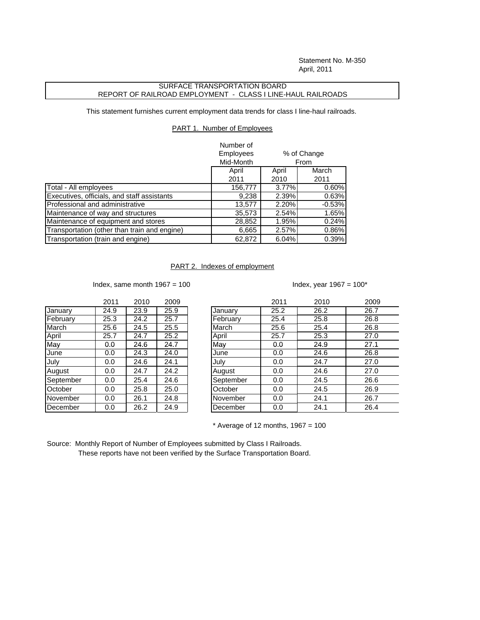Statement No. M-350 April, 2011

## SURFACE TRANSPORTATION BOARD REPORT OF RAILROAD EMPLOYMENT - CLASS I LINE-HAUL RAILROADS

This statement furnishes current employment data trends for class I line-haul railroads.

## PART 1. Number of Employees

|                                              | Number of        |             |          |  |
|----------------------------------------------|------------------|-------------|----------|--|
|                                              | <b>Employees</b> | % of Change |          |  |
|                                              | Mid-Month        | From        |          |  |
|                                              | April            | April       | March    |  |
|                                              | 2011             | 2010        | 2011     |  |
| Total - All employees                        | 156,777          | 3.77%       | 0.60%    |  |
| Executives, officials, and staff assistants  | 9,238            | 2.39%       | 0.63%    |  |
| Professional and administrative              | 13,577           | 2.20%       | $-0.53%$ |  |
| Maintenance of way and structures            | 35,573           | 2.54%       | 1.65%    |  |
| Maintenance of equipment and stores          | 28,852           | 1.95%       | 0.24%    |  |
| Transportation (other than train and engine) | 6,665            | 2.57%       | 0.86%    |  |
| Transportation (train and engine)            | 62,872           | 6.04%       | 0.39%    |  |

## PART 2. Indexes of employment

Index, same month  $1967 = 100$  Index, year  $1967 = 100^*$ 

|      |      | zuuy         |
|------|------|--------------|
| 24.9 | 23.9 | 25.9         |
| 25.3 | 24.2 | 25.7         |
| 25.6 | 24.5 | 25.5         |
| 25.7 | 24.7 | 25.2         |
| 0.0  | 24.6 | 24.7         |
| 0.0  | 24.3 | 24.0         |
| 0.0  | 24.6 | 24.1         |
| 0.0  | 24.7 | 24.2         |
| 0.0  | 25.4 | 24.6         |
| 0.0  | 25.8 | 25.0         |
| 0.0  | 26.1 | 24.8         |
| 0.0  | 26.2 | 24.9         |
|      |      | ZUTT<br>zutu |

|           | 2011 | 2010 | 2009 |           | 2011 | 2010 | 2009 |
|-----------|------|------|------|-----------|------|------|------|
| January   | 24.9 | 23.9 | 25.9 | January   | 25.2 | 26.2 | 26.7 |
| February  | 25.3 | 24.2 | 25.7 | February  | 25.4 | 25.8 | 26.8 |
| March     | 25.6 | 24.5 | 25.5 | March     | 25.6 | 25.4 | 26.8 |
| April     | 25.7 | 24.7 | 25.2 | April     | 25.7 | 25.3 | 27.0 |
| May       | 0.0  | 24.6 | 24.7 | May       | 0.0  | 24.9 | 27.1 |
| June      | 0.0  | 24.3 | 24.0 | June      | 0.0  | 24.6 | 26.8 |
| July      | 0.0  | 24.6 | 24.1 | July      | 0.0  | 24.7 | 27.0 |
| August    | 0.0  | 24.7 | 24.2 | August    | 0.0  | 24.6 | 27.0 |
| September | 0.0  | 25.4 | 24.6 | September | 0.0  | 24.5 | 26.6 |
| October   | 0.0  | 25.8 | 25.0 | October   | 0.0  | 24.5 | 26.9 |
| November  | 0.0  | 26.1 | 24.8 | November  | 0.0  | 24.1 | 26.7 |
| December  | 0.0  | 26.2 | 24.9 | December  | 0.0  | 24.1 | 26.4 |
|           |      |      |      |           |      |      |      |

 $*$  Average of 12 months, 1967 = 100

Source: Monthly Report of Number of Employees submitted by Class I Railroads. These reports have not been verified by the Surface Transportation Board.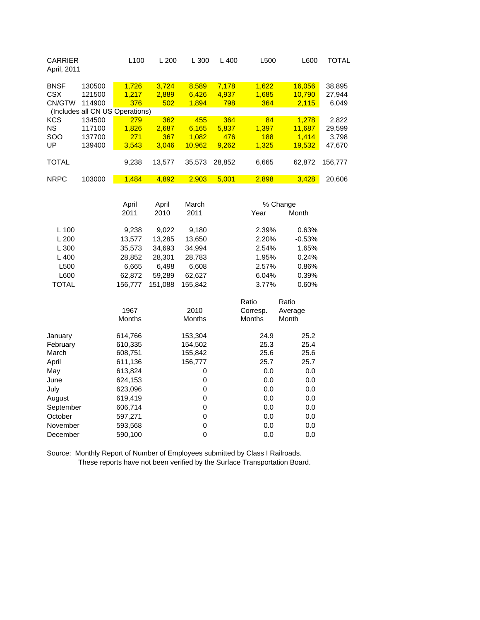| <b>CARRIER</b><br>April, 2011 |                                 | L <sub>100</sub> | L 200    | L300           | L400   | L500       | L600     | TOTAL   |
|-------------------------------|---------------------------------|------------------|----------|----------------|--------|------------|----------|---------|
| <b>BNSF</b>                   | 130500                          | 1,726            | 3,724    | 8,589          | 7,178  | 1,622      | 16,056   | 38,895  |
| <b>CSX</b>                    | 121500                          | 1,217            | 2,889    | 6,426          | 4,937  | 1,685      | 10,790   | 27,944  |
| CN/GTW                        | 114900                          | 376              | 502      | 1,894          | 798    | 364        | 2,115    | 6,049   |
|                               | (Includes all CN US Operations) |                  |          |                |        |            |          |         |
| <b>KCS</b>                    | 134500                          | 279              | 362      | 455            | 364    | 84         | 1,278    | 2,822   |
| <b>NS</b>                     | 117100                          | 1,826            | 2,687    | 6,165          | 5,837  | 1,397      | 11,687   | 29,599  |
| SOO                           | 137700                          | 271              | 367      | 1,082          | 476    | <b>188</b> | 1,414    | 3,798   |
| UP                            | 139400                          | 3,543            | 3,046    | 10,962         | 9,262  | 1,325      | 19,532   | 47,670  |
|                               |                                 |                  |          |                |        |            |          |         |
| <b>TOTAL</b>                  |                                 | 9,238            | 13,577   | 35,573         | 28,852 | 6,665      | 62,872   | 156,777 |
| <b>NRPC</b>                   | 103000                          | 1,484            | 4,892    | 2,903          | 5,001  | 2,898      | 3,428    | 20,606  |
|                               |                                 |                  |          |                |        |            |          |         |
|                               |                                 |                  |          |                |        |            |          |         |
|                               |                                 | April            | April    | March          |        | % Change   |          |         |
|                               |                                 | 2011             | 2010     | 2011           |        | Year       | Month    |         |
| $L$ 100                       |                                 |                  |          |                |        | 2.39%      | 0.63%    |         |
|                               |                                 | 9,238            | 9,022    | 9,180          |        |            |          |         |
| L200                          |                                 | 13,577           | 13,285   | 13,650         |        | 2.20%      | $-0.53%$ |         |
| L300                          |                                 | 35,573           | 34,693   | 34,994         |        | 2.54%      | 1.65%    |         |
| L400                          |                                 | 28,852           | 28,301   | 28,783         |        | 1.95%      | 0.24%    |         |
| L500                          |                                 | 6,665            | 6,498    | 6,608          |        | 2.57%      | 0.86%    |         |
| L600                          |                                 | 62,872           | 59,289   | 62,627         |        | 6.04%      | 0.39%    |         |
| ᅲ수ᄭ                           |                                 | ィーヘ フフフ          | 1.51.000 | $ATF$ $0$ $10$ |        | 0.770/     | 0.0001   |         |

| 156,777 | 151,088       | 155,842 | 3.77%         |                   | 0.60%            |
|---------|---------------|---------|---------------|-------------------|------------------|
| 1967    |               | 2010    |               | Ratio<br>Corresp. | Ratio<br>Average |
|         |               |         |               |                   | Month            |
| 614,766 |               | 153,304 |               | 24.9              | 25.2             |
| 610,335 |               | 154,502 |               | 25.3              | 25.4             |
| 608,751 |               | 155,842 |               | 25.6              | 25.6             |
| 611,136 |               | 156,777 |               | 25.7              | 25.7             |
| 613,824 |               | 0       |               | 0.0               | 0.0              |
| 624,153 |               | 0       |               | 0.0               | 0.0              |
| 623,096 |               | 0       |               | 0.0               | 0.0              |
| 619,419 |               | 0       |               | 0.0               | 0.0              |
| 606,714 |               | 0       |               | 0.0               | 0.0              |
| 597,271 |               | 0       |               | 0.0               | 0.0              |
| 593,568 |               | 0       |               | 0.0               | 0.0              |
| 590,100 |               | 0       |               | 0.0               | 0.0              |
|         | <b>Months</b> |         | <b>Months</b> |                   | <b>Months</b>    |

Source: Monthly Report of Number of Employees submitted by Class I Railroads. These reports have not been verified by the Surface Transportation Board.